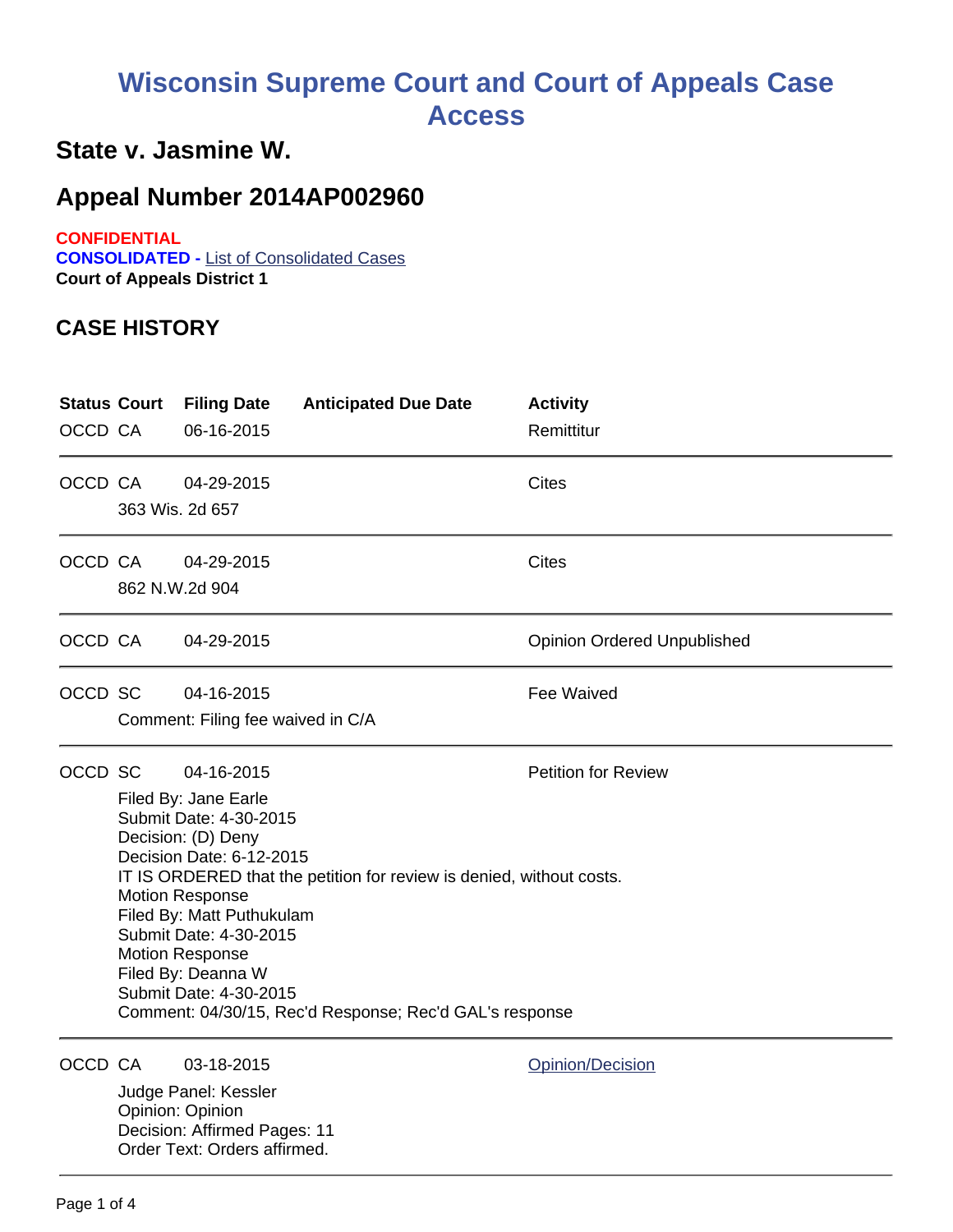# **Wisconsin Supreme Court and Court of Appeals Case Access**

### **State v. Jasmine W.**

## **Appeal Number 2014AP002960**

**CONFIDENTIAL**

**CONSOLIDATED -** List of Consolidated Cases **Court of Appeals District 1**

#### **CASE HISTORY**

| OCCD CA | <b>Status Court</b>                                                                                                                                                                                                                                                                                                                                                                                                                        | <b>Filing Date</b><br>06-16-2015                                                                                       | <b>Anticipated Due Date</b> | <b>Activity</b><br>Remittitur      |
|---------|--------------------------------------------------------------------------------------------------------------------------------------------------------------------------------------------------------------------------------------------------------------------------------------------------------------------------------------------------------------------------------------------------------------------------------------------|------------------------------------------------------------------------------------------------------------------------|-----------------------------|------------------------------------|
| OCCD CA |                                                                                                                                                                                                                                                                                                                                                                                                                                            | 04-29-2015<br>363 Wis. 2d 657                                                                                          |                             | <b>Cites</b>                       |
| OCCD CA |                                                                                                                                                                                                                                                                                                                                                                                                                                            | 04-29-2015<br>862 N.W.2d 904                                                                                           |                             | <b>Cites</b>                       |
| OCCD CA |                                                                                                                                                                                                                                                                                                                                                                                                                                            | 04-29-2015                                                                                                             |                             | <b>Opinion Ordered Unpublished</b> |
| OCCD SC |                                                                                                                                                                                                                                                                                                                                                                                                                                            | 04-16-2015<br>Comment: Filing fee waived in C/A                                                                        |                             | Fee Waived                         |
| OCCD SC | <b>Petition for Review</b><br>04-16-2015<br>Filed By: Jane Earle<br>Submit Date: 4-30-2015<br>Decision: (D) Deny<br>Decision Date: 6-12-2015<br>IT IS ORDERED that the petition for review is denied, without costs.<br><b>Motion Response</b><br>Filed By: Matt Puthukulam<br>Submit Date: 4-30-2015<br><b>Motion Response</b><br>Filed By: Deanna W<br>Submit Date: 4-30-2015<br>Comment: 04/30/15, Rec'd Response; Rec'd GAL's response |                                                                                                                        |                             |                                    |
| OCCD CA |                                                                                                                                                                                                                                                                                                                                                                                                                                            | 03-18-2015<br>Judge Panel: Kessler<br>Opinion: Opinion<br>Decision: Affirmed Pages: 11<br>Order Text: Orders affirmed. |                             | Opinion/Decision                   |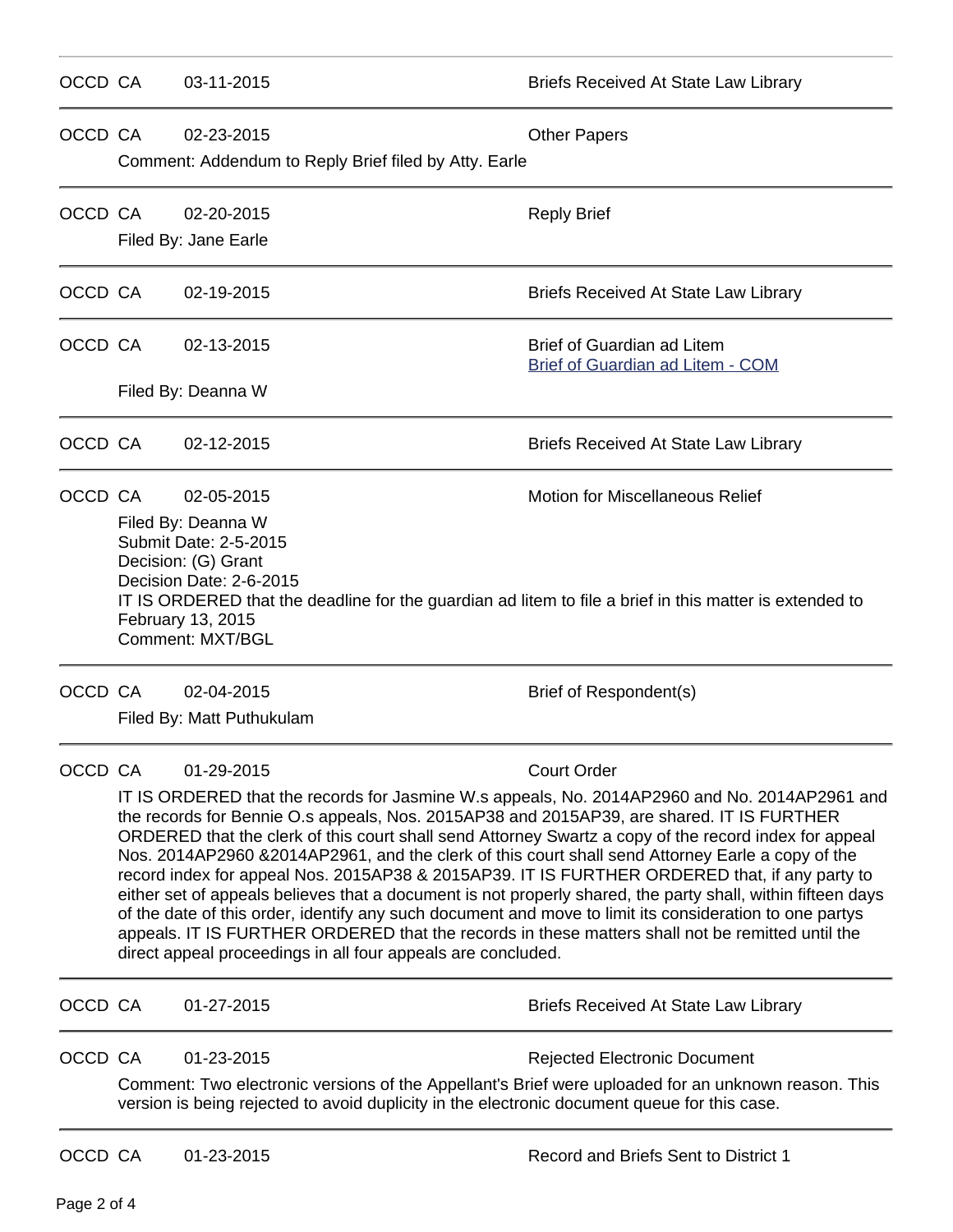| OCCD CA |                                                                                                                                                                                                                                                                                                                                                                                                                                                                                                                                                                                                                                                                                                                                                                                                                                                                                                                                            | 03-11-2015                                                          | <b>Briefs Received At State Law Library</b>                                                                                                                                                                                                |  |  |  |  |
|---------|--------------------------------------------------------------------------------------------------------------------------------------------------------------------------------------------------------------------------------------------------------------------------------------------------------------------------------------------------------------------------------------------------------------------------------------------------------------------------------------------------------------------------------------------------------------------------------------------------------------------------------------------------------------------------------------------------------------------------------------------------------------------------------------------------------------------------------------------------------------------------------------------------------------------------------------------|---------------------------------------------------------------------|--------------------------------------------------------------------------------------------------------------------------------------------------------------------------------------------------------------------------------------------|--|--|--|--|
| OCCD CA |                                                                                                                                                                                                                                                                                                                                                                                                                                                                                                                                                                                                                                                                                                                                                                                                                                                                                                                                            | 02-23-2015<br>Comment: Addendum to Reply Brief filed by Atty. Earle | <b>Other Papers</b>                                                                                                                                                                                                                        |  |  |  |  |
| OCCD CA |                                                                                                                                                                                                                                                                                                                                                                                                                                                                                                                                                                                                                                                                                                                                                                                                                                                                                                                                            | 02-20-2015<br>Filed By: Jane Earle                                  | <b>Reply Brief</b>                                                                                                                                                                                                                         |  |  |  |  |
| OCCD CA |                                                                                                                                                                                                                                                                                                                                                                                                                                                                                                                                                                                                                                                                                                                                                                                                                                                                                                                                            | 02-19-2015                                                          | <b>Briefs Received At State Law Library</b>                                                                                                                                                                                                |  |  |  |  |
| OCCD CA |                                                                                                                                                                                                                                                                                                                                                                                                                                                                                                                                                                                                                                                                                                                                                                                                                                                                                                                                            | 02-13-2015                                                          | <b>Brief of Guardian ad Litem</b><br>Brief of Guardian ad Litem - COM                                                                                                                                                                      |  |  |  |  |
|         |                                                                                                                                                                                                                                                                                                                                                                                                                                                                                                                                                                                                                                                                                                                                                                                                                                                                                                                                            | Filed By: Deanna W                                                  |                                                                                                                                                                                                                                            |  |  |  |  |
| OCCD CA |                                                                                                                                                                                                                                                                                                                                                                                                                                                                                                                                                                                                                                                                                                                                                                                                                                                                                                                                            | 02-12-2015                                                          | <b>Briefs Received At State Law Library</b>                                                                                                                                                                                                |  |  |  |  |
| OCCD CA | <b>Motion for Miscellaneous Relief</b><br>02-05-2015<br>Filed By: Deanna W<br>Submit Date: 2-5-2015<br>Decision: (G) Grant<br>Decision Date: 2-6-2015<br>IT IS ORDERED that the deadline for the guardian ad litem to file a brief in this matter is extended to<br>February 13, 2015<br><b>Comment: MXT/BGL</b>                                                                                                                                                                                                                                                                                                                                                                                                                                                                                                                                                                                                                           |                                                                     |                                                                                                                                                                                                                                            |  |  |  |  |
| OCCD CA |                                                                                                                                                                                                                                                                                                                                                                                                                                                                                                                                                                                                                                                                                                                                                                                                                                                                                                                                            | 02-04-2015<br>Filed By: Matt Puthukulam                             | Brief of Respondent(s)                                                                                                                                                                                                                     |  |  |  |  |
| OCCD CA | <b>Court Order</b><br>01-29-2015<br>IT IS ORDERED that the records for Jasmine W.s appeals, No. 2014AP2960 and No. 2014AP2961 and<br>the records for Bennie O.s appeals, Nos. 2015AP38 and 2015AP39, are shared. IT IS FURTHER<br>ORDERED that the clerk of this court shall send Attorney Swartz a copy of the record index for appeal<br>Nos. 2014AP2960 &2014AP2961, and the clerk of this court shall send Attorney Earle a copy of the<br>record index for appeal Nos. 2015AP38 & 2015AP39. IT IS FURTHER ORDERED that, if any party to<br>either set of appeals believes that a document is not properly shared, the party shall, within fifteen days<br>of the date of this order, identify any such document and move to limit its consideration to one partys<br>appeals. IT IS FURTHER ORDERED that the records in these matters shall not be remitted until the<br>direct appeal proceedings in all four appeals are concluded. |                                                                     |                                                                                                                                                                                                                                            |  |  |  |  |
| OCCD CA |                                                                                                                                                                                                                                                                                                                                                                                                                                                                                                                                                                                                                                                                                                                                                                                                                                                                                                                                            | 01-27-2015                                                          | <b>Briefs Received At State Law Library</b>                                                                                                                                                                                                |  |  |  |  |
| OCCD CA |                                                                                                                                                                                                                                                                                                                                                                                                                                                                                                                                                                                                                                                                                                                                                                                                                                                                                                                                            | 01-23-2015                                                          | <b>Rejected Electronic Document</b><br>Comment: Two electronic versions of the Appellant's Brief were uploaded for an unknown reason. This<br>version is being rejected to avoid duplicity in the electronic document queue for this case. |  |  |  |  |
| OCCD CA |                                                                                                                                                                                                                                                                                                                                                                                                                                                                                                                                                                                                                                                                                                                                                                                                                                                                                                                                            | 01-23-2015                                                          | Record and Briefs Sent to District 1                                                                                                                                                                                                       |  |  |  |  |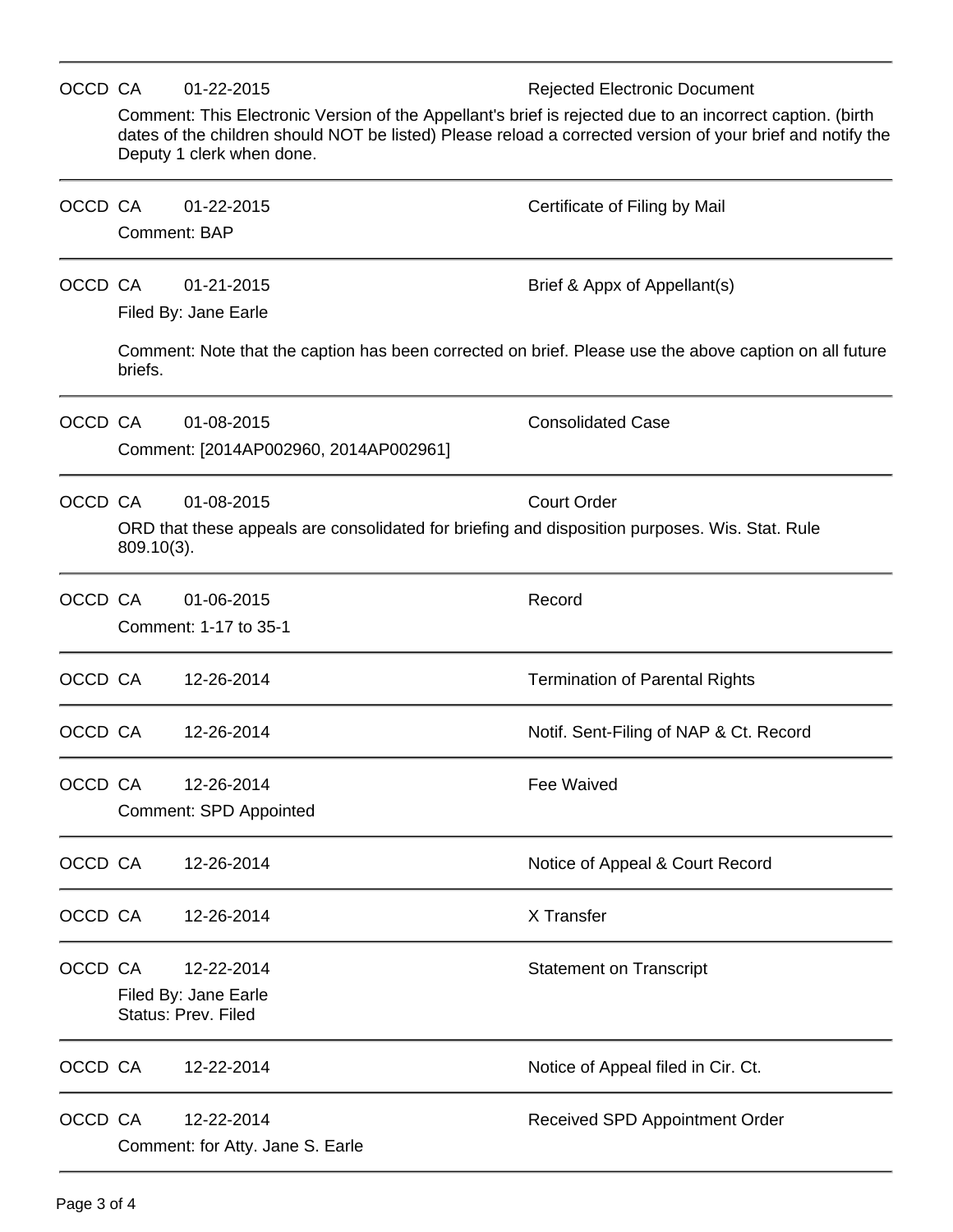|         | OCCD CA                                                                                                         | 01-22-2015                                                                                                                                                                                                                                           | <b>Rejected Electronic Document</b>    |  |  |  |  |
|---------|-----------------------------------------------------------------------------------------------------------------|------------------------------------------------------------------------------------------------------------------------------------------------------------------------------------------------------------------------------------------------------|----------------------------------------|--|--|--|--|
|         |                                                                                                                 | Comment: This Electronic Version of the Appellant's brief is rejected due to an incorrect caption. (birth<br>dates of the children should NOT be listed) Please reload a corrected version of your brief and notify the<br>Deputy 1 clerk when done. |                                        |  |  |  |  |
| OCCD CA |                                                                                                                 | 01-22-2015<br>Comment: BAP                                                                                                                                                                                                                           | Certificate of Filing by Mail          |  |  |  |  |
| OCCD CA |                                                                                                                 | 01-21-2015<br>Filed By: Jane Earle                                                                                                                                                                                                                   | Brief & Appx of Appellant(s)           |  |  |  |  |
|         | briefs.                                                                                                         | Comment: Note that the caption has been corrected on brief. Please use the above caption on all future                                                                                                                                               |                                        |  |  |  |  |
| OCCD CA |                                                                                                                 | 01-08-2015<br>Comment: [2014AP002960, 2014AP002961]                                                                                                                                                                                                  | <b>Consolidated Case</b>               |  |  |  |  |
|         | OCCD CA                                                                                                         | 01-08-2015                                                                                                                                                                                                                                           | <b>Court Order</b>                     |  |  |  |  |
|         | ORD that these appeals are consolidated for briefing and disposition purposes. Wis. Stat. Rule<br>$809.10(3)$ . |                                                                                                                                                                                                                                                      |                                        |  |  |  |  |
| OCCD CA |                                                                                                                 | 01-06-2015<br>Comment: 1-17 to 35-1                                                                                                                                                                                                                  | Record                                 |  |  |  |  |
| OCCD CA |                                                                                                                 | 12-26-2014                                                                                                                                                                                                                                           | <b>Termination of Parental Rights</b>  |  |  |  |  |
| OCCD CA |                                                                                                                 | 12-26-2014                                                                                                                                                                                                                                           | Notif. Sent-Filing of NAP & Ct. Record |  |  |  |  |
| OCCD CA |                                                                                                                 | 12-26-2014                                                                                                                                                                                                                                           | Fee Waived                             |  |  |  |  |
|         |                                                                                                                 | <b>Comment: SPD Appointed</b>                                                                                                                                                                                                                        |                                        |  |  |  |  |
| OCCD CA |                                                                                                                 | 12-26-2014                                                                                                                                                                                                                                           | Notice of Appeal & Court Record        |  |  |  |  |
| OCCD CA |                                                                                                                 | 12-26-2014                                                                                                                                                                                                                                           | X Transfer                             |  |  |  |  |
| OCCD CA |                                                                                                                 | 12-22-2014                                                                                                                                                                                                                                           | <b>Statement on Transcript</b>         |  |  |  |  |
|         | Filed By: Jane Earle<br><b>Status: Prev. Filed</b>                                                              |                                                                                                                                                                                                                                                      |                                        |  |  |  |  |
| OCCD CA |                                                                                                                 | 12-22-2014                                                                                                                                                                                                                                           | Notice of Appeal filed in Cir. Ct.     |  |  |  |  |
| OCCD CA |                                                                                                                 | 12-22-2014<br>Comment: for Atty. Jane S. Earle                                                                                                                                                                                                       | Received SPD Appointment Order         |  |  |  |  |